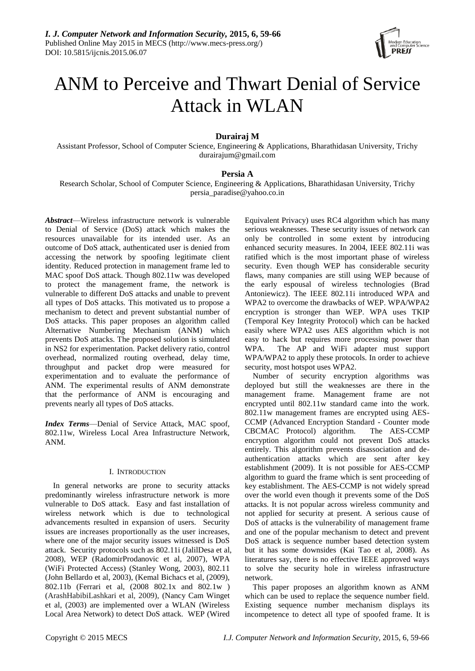

# ANM to Perceive and Thwart Denial of Service Attack in WLAN

# **Durairaj M**

Assistant Professor, School of Computer Science, Engineering & Applications, Bharathidasan University, Trichy [durairajum@gmail.com](mailto:durairajum@gmail.com)

# **Persia A**

Research Scholar, School of Computer Science, Engineering & Applications, Bharathidasan University, Trichy [persia\\_paradise@yahoo.co.in](mailto:persia_paradise@yahoo.co.in)

*Abstract*—Wireless infrastructure network is vulnerable to Denial of Service (DoS) attack which makes the resources unavailable for its intended user. As an outcome of DoS attack, authenticated user is denied from accessing the network by spoofing legitimate client identity. Reduced protection in management frame led to MAC spoof DoS attack. Though 802.11w was developed to protect the management frame, the network is vulnerable to different DoS attacks and unable to prevent all types of DoS attacks. This motivated us to propose a mechanism to detect and prevent substantial number of DoS attacks. This paper proposes an algorithm called Alternative Numbering Mechanism (ANM) which prevents DoS attacks. The proposed solution is simulated in NS2 for experimentation. Packet delivery ratio, control overhead, normalized routing overhead, delay time, throughput and packet drop were measured for experimentation and to evaluate the performance of ANM. The experimental results of ANM demonstrate that the performance of ANM is encouraging and prevents nearly all types of DoS attacks.

*Index Terms*—Denial of Service Attack, MAC spoof, 802.11w, Wireless Local Area Infrastructure Network, ANM.

# I. INTRODUCTION

In general networks are prone to security attacks predominantly wireless infrastructure network is more vulnerable to DoS attack. Easy and fast installation of wireless network which is due to technological advancements resulted in expansion of users. Security issues are increases proportionally as the user increases, where one of the major security issues witnessed is DoS attack. Security protocols such as 802.11i (JalilDesa et al, 2008), WEP (RadomirProdanovic et al, 2007), WPA (WiFi Protected Access) (Stanley Wong, 2003), 802.11 (John Bellardo et al, 2003), (Kemal Bichacs et al, (2009), 802.11b (Ferrari et al, (2008 802.1x and 802.1w ) (ArashHabibiLashkari et al, 2009), (Nancy Cam Winget et al, (2003) are implemented over a WLAN (Wireless Local Area Network) to detect DoS attack. WEP (Wired

Equivalent Privacy) uses RC4 algorithm which has many serious weaknesses. These security issues of network can only be controlled in some extent by introducing enhanced security measures. In 2004, IEEE 802.11i was ratified which is the most important phase of wireless security. Even though WEP has considerable security flaws, many companies are still using WEP because of the early espousal of wireless technologies (Brad Antoniewicz). The IEEE 802.11i introduced WPA and WPA2 to overcome the drawbacks of WEP. WPA/WPA2 encryption is stronger than WEP. WPA uses TKIP (Temporal Key Integrity Protocol) which can be hacked easily where WPA2 uses AES algorithm which is not easy to hack but requires more processing power than WPA. The AP and WiFi adapter must support WPA/WPA2 to apply these protocols. In order to achieve security, most hotspot uses WPA2.

Number of security encryption algorithms was deployed but still the weaknesses are there in the management frame. Management frame are not encrypted until 802.11w standard came into the work. 802.11w management frames are encrypted using AES-CCMP (Advanced Encryption Standard - Counter mode CBCMAC Protocol) algorithm. The AES-CCMP encryption algorithm could not prevent DoS attacks entirely. This algorithm prevents disassociation and deauthentication attacks which are sent after key establishment (2009). It is not possible for AES-CCMP algorithm to guard the frame which is sent proceeding of key establishment. The AES-CCMP is not widely spread over the world even though it prevents some of the DoS attacks. It is not popular across wireless community and not applied for security at present. A serious cause of DoS of attacks is the vulnerability of management frame and one of the popular mechanism to detect and prevent DoS attack is sequence number based detection system but it has some downsides (Kai Tao et al, 2008). As literatures say, there is no effective IEEE approved ways to solve the security hole in wireless infrastructure network.

This paper proposes an algorithm known as ANM which can be used to replace the sequence number field. Existing sequence number mechanism displays its incompetence to detect all type of spoofed frame. It is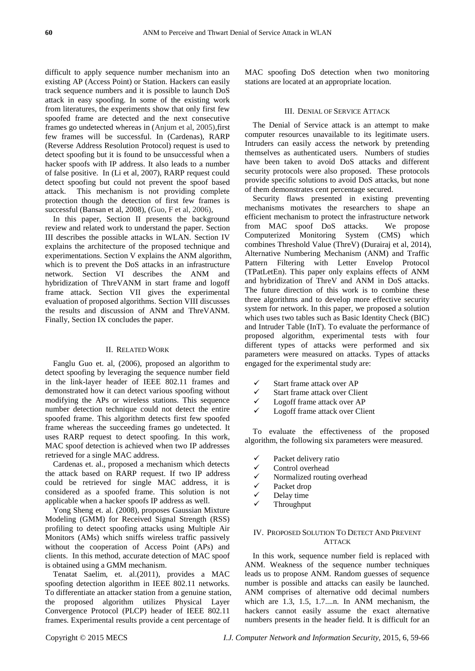difficult to apply sequence number mechanism into an existing AP (Access Point) or Station. Hackers can easily track sequence numbers and it is possible to launch DoS attack in easy spoofing. In some of the existing work from literatures, the experiments show that only first few spoofed frame are detected and the next consecutive frames go undetected whereas in (Anjum et al, 2005),first few frames will be successful. In (Cardenas), RARP (Reverse Address Resolution Protocol) request is used to detect spoofing but it is found to be unsuccessful when a hacker spoofs with IP address. It also leads to a number of false positive. In (Li et al, 2007), RARP request could detect spoofing but could not prevent the spoof based attack. This mechanism is not providing complete protection though the detection of first few frames is successful (Bansan et al, 2008), (Guo, F et al, 2006),

In this paper, Section II presents the background review and related work to understand the paper. Section III describes the possible attacks in WLAN. Section IV explains the architecture of the proposed technique and experimentations. Section V explains the ANM algorithm, which is to prevent the DoS attacks in an infrastructure network. Section VI describes the ANM and hybridization of ThreVANM in start frame and logoff frame attack. Section VII gives the experimental evaluation of proposed algorithms. Section VIII discusses the results and discussion of ANM and ThreVANM. Finally, Section IX concludes the paper.

# II. RELATED WORK

Fanglu Guo et. al, (2006), proposed an algorithm to detect spoofing by leveraging the sequence number field in the link-layer header of IEEE 802.11 frames and demonstrated how it can detect various spoofing without modifying the APs or wireless stations. This sequence number detection technique could not detect the entire spoofed frame. This algorithm detects first few spoofed frame whereas the succeeding frames go undetected. It uses RARP request to detect spoofing. In this work, MAC spoof detection is achieved when two IP addresses retrieved for a single MAC address.

Cardenas et. al., proposed a mechanism which detects the attack based on RARP request. If two IP address could be retrieved for single MAC address, it is considered as a spoofed frame. This solution is not applicable when a hacker spoofs IP address as well.

Yong Sheng et. al. (2008), proposes Gaussian Mixture Modeling (GMM) for Received Signal Strength (RSS) profiling to detect spoofing attacks using Multiple Air Monitors (AMs) which sniffs wireless traffic passively without the cooperation of Access Point (APs) and clients. In this method, accurate detection of MAC spoof is obtained using a GMM mechanism.

Tenatat Saelim, et. al.(2011), provides a MAC spoofing detection algorithm in IEEE 802.11 networks. To differentiate an attacker station from a genuine station, the proposed algorithm utilizes Physical Layer Convergence Protocol (PLCP) header of IEEE 802.11 frames. Experimental results provide a cent percentage of

MAC spoofing DoS detection when two monitoring stations are located at an appropriate location.

# III. DENIAL OF SERVICE ATTACK

The Denial of Service attack is an attempt to make computer resources unavailable to its legitimate users. Intruders can easily access the network by pretending themselves as authenticated users. Numbers of studies have been taken to avoid DoS attacks and different security protocols were also proposed. These protocols provide specific solutions to avoid DoS attacks, but none of them demonstrates cent percentage secured.

Security flaws presented in existing preventing mechanisms motivates the researchers to shape an efficient mechanism to protect the infrastructure network from MAC spoof DoS attacks. We propose Computerized Monitoring System (CMS) which combines Threshold Value (ThreV) (Durairaj et al, 2014), Alternative Numbering Mechanism (ANM) and Traffic Pattern Filtering with Letter Envelop Protocol (TPatLetEn). This paper only explains effects of ANM and hybridization of ThreV and ANM in DoS attacks. The future direction of this work is to combine these three algorithms and to develop more effective security system for network. In this paper, we proposed a solution which uses two tables such as Basic Identity Check (BIC) and Intruder Table (InT). To evaluate the performance of proposed algorithm, experimental tests with four different types of attacks were performed and six parameters were measured on attacks. Types of attacks engaged for the experimental study are:

- Start frame attack over AP
- Start frame attack over Client
- Logoff frame attack over AP
- Logoff frame attack over Client

To evaluate the effectiveness of the proposed algorithm, the following six parameters were measured.

- Packet delivery ratio
- Control overhead
- Normalized routing overhead
- Packet drop
- Delay time
- Throughput

# IV. PROPOSED SOLUTION TO DETECT AND PREVENT ATTACK

In this work, sequence number field is replaced with ANM. Weakness of the sequence number techniques leads us to propose ANM. Random guesses of sequence number is possible and attacks can easily be launched. ANM comprises of alternative odd decimal numbers which are 1.3, 1.5, 1.7....n. In ANM mechanism, the hackers cannot easily assume the exact alternative numbers presents in the header field. It is difficult for an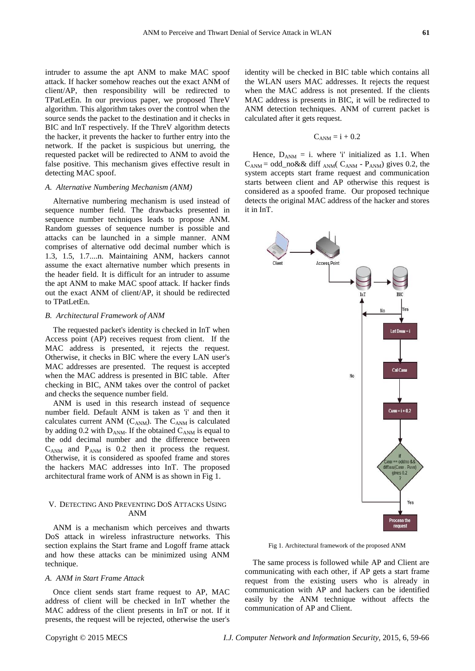intruder to assume the apt ANM to make MAC spoof attack. If hacker somehow reaches out the exact ANM of client/AP, then responsibility will be redirected to TPatLetEn. In our previous paper, we proposed ThreV algorithm. This algorithm takes over the control when the source sends the packet to the destination and it checks in BIC and InT respectively. If the ThreV algorithm detects the hacker, it prevents the hacker to further entry into the network. If the packet is suspicious but unerring, the requested packet will be redirected to ANM to avoid the false positive. This mechanism gives effective result in detecting MAC spoof.

# *A. Alternative Numbering Mechanism (ANM)*

Alternative numbering mechanism is used instead of sequence number field. The drawbacks presented in sequence number techniques leads to propose ANM. Random guesses of sequence number is possible and attacks can be launched in a simple manner. ANM comprises of alternative odd decimal number which is 1.3, 1.5, 1.7....n. Maintaining ANM, hackers cannot assume the exact alternative number which presents in the header field. It is difficult for an intruder to assume the apt ANM to make MAC spoof attack. If hacker finds out the exact ANM of client/AP, it should be redirected to TPatLetEn.

# *B. Architectural Framework of ANM*

The requested packet's identity is checked in InT when Access point (AP) receives request from client. If the MAC address is presented, it rejects the request. Otherwise, it checks in BIC where the every LAN user's MAC addresses are presented. The request is accepted when the MAC address is presented in BIC table. After checking in BIC, ANM takes over the control of packet and checks the sequence number field.

ANM is used in this research instead of sequence number field. Default ANM is taken as 'i' and then it calculates current ANM ( $C_{ANM}$ ). The  $C_{ANM}$  is calculated by adding 0.2 with  $D_{ANM}$ . If the obtained  $C_{ANM}$  is equal to the odd decimal number and the difference between  $C_{ANM}$  and  $P_{ANM}$  is 0.2 then it process the request. Otherwise, it is considered as spoofed frame and stores the hackers MAC addresses into InT. The proposed architectural frame work of ANM is as shown in Fig 1.

# V. DETECTING AND PREVENTING DOS ATTACKS USING ANM

ANM is a mechanism which perceives and thwarts DoS attack in wireless infrastructure networks. This section explains the Start frame and Logoff frame attack and how these attacks can be minimized using ANM technique.

# *A. ANM in Start Frame Attack*

Once client sends start frame request to AP, MAC address of client will be checked in InT whether the MAC address of the client presents in InT or not. If it presents, the request will be rejected, otherwise the user's

$$
C_{\rm ANM} = i + 0.2\,
$$

calculated after it gets request.

Hence,  $D_{ANM} = i$ . where 'i' initialized as 1.1. When  $C_{ANM} = \text{odd\_no&& diff }_{ANM}$   $C_{ANM}$  -  $P_{ANM}$ ) gives 0.2, the system accepts start frame request and communication starts between client and AP otherwise this request is considered as a spoofed frame. Our proposed technique detects the original MAC address of the hacker and stores it in InT.



Fig 1. Architectural framework of the proposed ANM

The same process is followed while AP and Client are communicating with each other, if AP gets a start frame request from the existing users who is already in communication with AP and hackers can be identified easily by the ANM technique without affects the communication of AP and Client.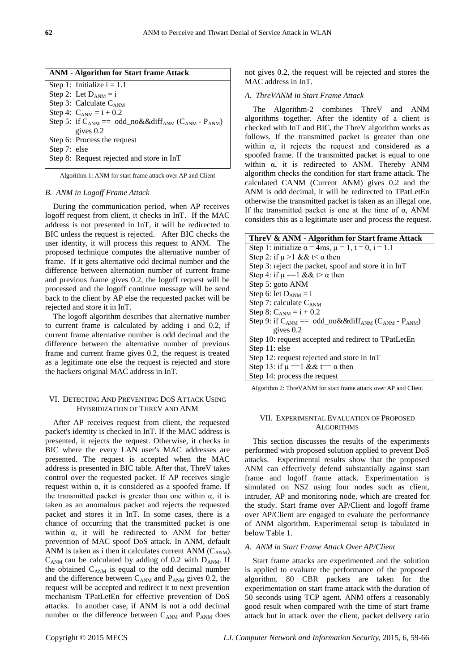|              | <b>ANM</b> - Algorithm for Start frame Attack                                            |
|--------------|------------------------------------------------------------------------------------------|
|              | Step 1: Initialize $i = 1.1$                                                             |
|              | Step 2: Let $D_{ANM} = i$                                                                |
|              | Step 3: Calculate $C_{ANM}$                                                              |
|              | Step 4: $C_{ANM} = i + 0.2$                                                              |
|              | Step 5: if $C_{ANM} = \text{odd} \text{mod} \& \& \text{diff}_{ANM} (C_{ANM} - P_{ANM})$ |
|              | gives $0.2$                                                                              |
|              | Step 6: Process the request                                                              |
| Step 7: else |                                                                                          |
|              | Step 8: Request rejected and store in InT                                                |
|              |                                                                                          |

Algorithm 1: ANM for start frame attack over AP and Client

#### *B. ANM in Logoff Frame Attack*

During the communication period, when AP receives logoff request from client, it checks in InT. If the MAC address is not presented in InT, it will be redirected to BIC unless the request is rejected. After BIC checks the user identity, it will process this request to ANM. The proposed technique computes the alternative number of frame. If it gets alternative odd decimal number and the difference between alternation number of current frame and previous frame gives 0.2, the logoff request will be processed and the logoff continue message will be send back to the client by AP else the requested packet will be rejected and store it in InT.

The logoff algorithm describes that alternative number to current frame is calculated by adding i and 0.2, if current frame alternative number is odd decimal and the difference between the alternative number of previous frame and current frame gives 0.2, the request is treated as a legitimate one else the request is rejected and store the hackers original MAC address in InT.

# VI. DETECTING AND PREVENTING DOS ATTACK USING HYBRIDIZATION OF THREV AND ANM

After AP receives request from client, the requested packet's identity is checked in InT. If the MAC address is presented, it rejects the request. Otherwise, it checks in BIC where the every LAN user's MAC addresses are presented. The request is accepted when the MAC address is presented in BIC table. After that, ThreV takes control over the requested packet. If AP receives single request within α, it is considered as a spoofed frame. If the transmitted packet is greater than one within  $\alpha$ , it is taken as an anomalous packet and rejects the requested packet and stores it in InT. In some cases, there is a chance of occurring that the transmitted packet is one within  $\alpha$ , it will be redirected to ANM for better prevention of MAC spoof DoS attack. In ANM, default ANM is taken as i then it calculates current ANM  $(C_{ANM})$ .  $C_{ANM}$  can be calculated by adding of 0.2 with  $D_{ANM}$ . If the obtained  $C_{ANM}$  is equal to the odd decimal number and the difference between  $C_{ANM}$  and  $P_{ANM}$  gives 0.2, the request will be accepted and redirect it to next prevention mechanism TPatLetEn for effective prevention of DoS attacks. In another case, if ANM is not a odd decimal number or the difference between  $C_{ANM}$  and  $P_{ANM}$  does

not gives 0.2, the request will be rejected and stores the MAC address in InT.

#### *A. ThreVANM in Start Frame Attack*

The Algorithm-2 combines ThreV and ANM algorithms together. After the identity of a client is checked with InT and BIC, the ThreV algorithm works as follows. If the transmitted packet is greater than one within  $\alpha$ , it rejects the request and considered as a spoofed frame. If the transmitted packet is equal to one within  $\alpha$ , it is redirected to ANM. Thereby ANM algorithm checks the condition for start frame attack. The calculated CANM (Current ANM) gives 0.2 and the ANM is odd decimal, it will be redirected to TPatLetEn otherwise the transmitted packet is taken as an illegal one. If the transmitted packet is one at the time of  $\alpha$ , ANM considers this as a legitimate user and process the request.

| ThreV & ANM - Algorithm for Start frame Attack                        |
|-----------------------------------------------------------------------|
| Step 1: initialize $\alpha = 4$ ms, $\mu = 1$ , $t = 0$ , $i = 1.1$   |
| Step 2: if $\mu > 1$ && t< $\alpha$ then                              |
| Step 3: reject the packet, spoof and store it in InT                  |
| Step 4: if $\mu = 1 \&\& t > \alpha$ then                             |
| Step 5: goto ANM                                                      |
| Step 6: let $D_{ANM} = i$                                             |
| Step 7: calculate $C_{ANM}$                                           |
| Step 8: $C_{ANM} = i + 0.2$                                           |
| Step 9: if $C_{ANM} = \text{odd\_no&&diff}_{ANN} (C_{ANM} - P_{ANM})$ |
| gives $0.2$                                                           |
| Step 10: request accepted and redirect to TPatLetEn                   |
| Step 11: else                                                         |
| Step 12: request rejected and store in InT                            |
| Step 13: if $\mu = 1 \& \& t == \alpha$ then                          |
| Step 14: process the request                                          |

Algorithm 2: ThreVANM for start frame attack over AP and Client

# VII. EXPERIMENTAL EVALUATION OF PROPOSED **ALGORITHMS**

This section discusses the results of the experiments performed with proposed solution applied to prevent DoS attacks. Experimental results show that the proposed ANM can effectively defend substantially against start frame and logoff frame attack. Experimentation is simulated on NS2 using four nodes such as client, intruder, AP and monitoring node, which are created for the study. Start frame over AP/Client and logoff frame over AP/Client are engaged to evaluate the performance of ANM algorithm. Experimental setup is tabulated in below Table 1.

# *A. ANM in Start Frame Attack Over AP/Client*

Start frame attacks are experimented and the solution is applied to evaluate the performance of the proposed algorithm. 80 CBR packets are taken for the experimentation on start frame attack with the duration of 50 seconds using TCP agent. ANM offers a reasonably good result when compared with the time of start frame attack but in attack over the client, packet delivery ratio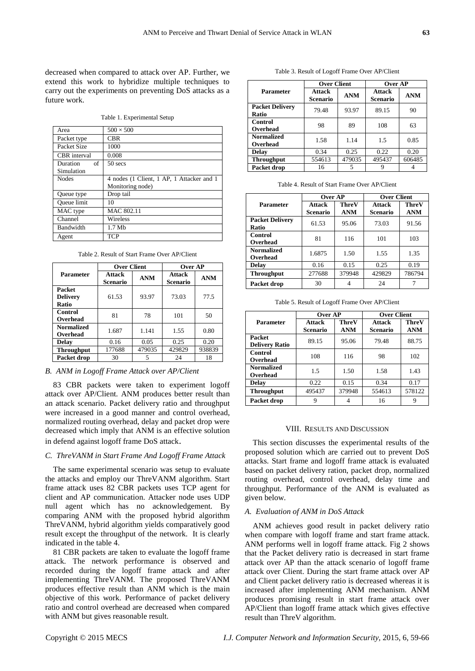decreased when compared to attack over AP. Further, we extend this work to hybridize multiple techniques to carry out the experiments on preventing DoS attacks as a future work.

Table 1. Experimental Setup

| Area           | $500 \times 500$                          |
|----------------|-------------------------------------------|
| Packet type    | <b>CBR</b>                                |
| Packet Size    | 1000                                      |
| CBR interval   | 0.008                                     |
| of<br>Duration | $50$ secs                                 |
| Simulation     |                                           |
| <b>Nodes</b>   | 4 nodes (1 Client, 1 AP, 1 Attacker and 1 |
|                | Monitoring node)                          |
| Queue type     | Drop tail                                 |
| Queue limit    | 10                                        |
| MAC type       | MAC 802.11                                |
| Channel        | Wireless                                  |
| Bandwidth      | $1.7$ Mb                                  |
| Agent          | TCP                                       |

Table 2. Result of Start Frame Over AP/Client

|                                           | <b>Over Client</b>               |            | Over AP                          |            |  |
|-------------------------------------------|----------------------------------|------------|----------------------------------|------------|--|
| <b>Parameter</b>                          | <b>Attack</b><br><b>Scenario</b> | <b>ANM</b> | <b>Attack</b><br><b>Scenario</b> | <b>ANM</b> |  |
| <b>Packet</b><br><b>Delivery</b><br>Ratio | 61.53                            | 93.97      | 73.03                            | 77.5       |  |
| Control<br>Overhead                       | 81                               | 78         | 101                              | 50         |  |
| <b>Normalized</b><br>Overhead             | 1.687                            | 1.141      | 1.55                             | 0.80       |  |
| Delay                                     | 0.16                             | 0.05       | 0.25                             | 0.20       |  |
| <b>Throughput</b>                         | 177688                           | 479035     | 429829                           | 938839     |  |
| Packet drop                               | 30                               | 5          | 24                               | 18         |  |

## *B. ANM in Logoff Frame Attack over AP/Client*

83 CBR packets were taken to experiment logoff attack over AP/Client. ANM produces better result than an attack scenario. Packet delivery ratio and throughput were increased in a good manner and control overhead, normalized routing overhead, delay and packet drop were decreased which imply that ANM is an effective solution in defend against logoff frame DoS attack.

## *C. ThreVANM in Start Frame And Logoff Frame Attack*

The same experimental scenario was setup to evaluate the attacks and employ our ThreVANM algorithm. Start frame attack uses 82 CBR packets uses TCP agent for client and AP communication. Attacker node uses UDP null agent which has no acknowledgement. By comparing ANM with the proposed hybrid algorithm ThreVANM, hybrid algorithm yields comparatively good result except the throughput of the network. It is clearly indicated in the table 4.

81 CBR packets are taken to evaluate the logoff frame attack. The network performance is observed and recorded during the logoff frame attack and after implementing ThreVANM. The proposed ThreVANM produces effective result than ANM which is the main objective of this work. Performance of packet delivery ratio and control overhead are decreased when compared with ANM but gives reasonable result.

|  |  |  |  |  | Table 3. Result of Logoff Frame Over AP/Client |
|--|--|--|--|--|------------------------------------------------|
|--|--|--|--|--|------------------------------------------------|

|                                 | <b>Over Client</b>               |            | Over AP                          |            |
|---------------------------------|----------------------------------|------------|----------------------------------|------------|
| Parameter                       | <b>Attack</b><br><b>Scenario</b> | <b>ANM</b> | <b>Attack</b><br><b>Scenario</b> | <b>ANM</b> |
| <b>Packet Delivery</b><br>Ratio | 79.48                            | 93.97      | 89.15                            | 90         |
| Control<br>Overhead             | 98                               | 89         | 108                              | 63         |
| <b>Normalized</b><br>Overhead   | 1.58                             | 1.14       | 1.5                              | 0.85       |
| <b>Delay</b>                    | 0.34                             | 0.25       | 0.22                             | 0.20       |
| <b>Throughput</b>               | 554613                           | 479035     | 495437                           | 606485     |
| Packet drop                     | 16                               | 5          | Q                                |            |

|                                 | Over AP                          |                     | <b>Over Client</b>               |                     |  |
|---------------------------------|----------------------------------|---------------------|----------------------------------|---------------------|--|
| Parameter                       | <b>Attack</b><br><b>Scenario</b> | ThreV<br><b>ANM</b> | <b>Attack</b><br><b>Scenario</b> | ThreV<br><b>ANM</b> |  |
| <b>Packet Delivery</b><br>Ratio | 61.53                            | 95.06               | 73.03                            | 91.56               |  |
| Control<br>Overhead             | 81                               | 116                 | 101                              | 103                 |  |
| <b>Normalized</b><br>Overhead   | 1.6875                           | 1.50                | 1.55                             | 1.35                |  |
| <b>Delay</b>                    | 0.16                             | 0.15                | 0.25                             | 0.19                |  |
| <b>Throughput</b>               | 277688                           | 379948              | 429829                           | 786794              |  |
| Packet drop                     | 30                               |                     | 24                               |                     |  |

Table 5. Result of Logoff Frame Over AP/Client

|                                        | Over AP                   |                     | <b>Over Client</b>               |                            |  |
|----------------------------------------|---------------------------|---------------------|----------------------------------|----------------------------|--|
| <b>Parameter</b>                       | <b>Attack</b><br>Scenario | ThreV<br><b>ANM</b> | <b>Attack</b><br><b>Scenario</b> | <b>ThreV</b><br><b>ANM</b> |  |
| <b>Packet</b><br><b>Delivery Ratio</b> | 89.15                     | 95.06               | 79.48                            | 88.75                      |  |
| Control<br>Overhead                    | 108                       | 116                 | 98                               | 102                        |  |
| <b>Normalized</b><br>Overhead          | 1.5                       | 1.50                | 1.58                             | 1.43                       |  |
| <b>Delay</b>                           | 0.22                      | 0.15                | 0.34                             | 0.17                       |  |
| <b>Throughput</b>                      | 495437                    | 379948              | 554613                           | 578122                     |  |
| Packet drop                            | g                         |                     | 16                               |                            |  |

#### VIII. RESULTS AND DISCUSSION

This section discusses the experimental results of the proposed solution which are carried out to prevent DoS attacks. Start frame and logoff frame attack is evaluated based on packet delivery ration, packet drop, normalized routing overhead, control overhead, delay time and throughput. Performance of the ANM is evaluated as given below.

# *A. Evaluation of ANM in DoS Attack*

ANM achieves good result in packet delivery ratio when compare with logoff frame and start frame attack. ANM performs well in logoff frame attack. Fig 2 shows that the Packet delivery ratio is decreased in start frame attack over AP than the attack scenario of logoff frame attack over Client. During the start frame attack over AP and Client packet delivery ratio is decreased whereas it is increased after implementing ANM mechanism. ANM produces promising result in start frame attack over AP/Client than logoff frame attack which gives effective result than ThreV algorithm.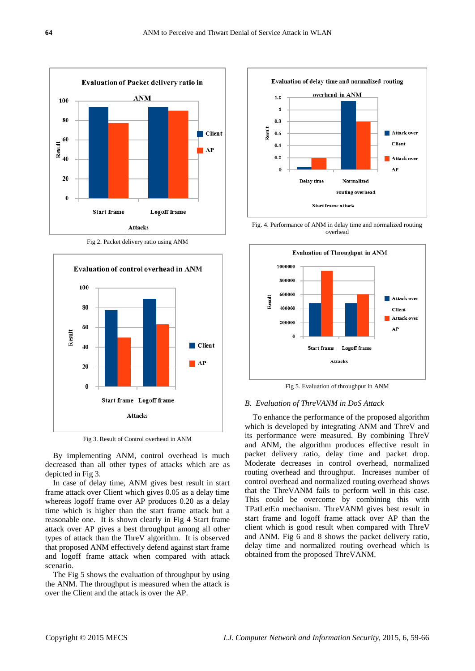

Fig 2. Packet delivery ratio using ANM



Fig 3. Result of Control overhead in ANM

By implementing ANM, control overhead is much decreased than all other types of attacks which are as depicted in Fig 3.

In case of delay time, ANM gives best result in start frame attack over Client which gives 0.05 as a delay time whereas logoff frame over AP produces 0.20 as a delay time which is higher than the start frame attack but a reasonable one. It is shown clearly in Fig 4 Start frame attack over AP gives a best throughput among all other types of attack than the ThreV algorithm. It is observed that proposed ANM effectively defend against start frame and logoff frame attack when compared with attack scenario.

The Fig 5 shows the evaluation of throughput by using the ANM. The throughput is measured when the attack is over the Client and the attack is over the AP.



Fig. 4. Performance of ANM in delay time and normalized routing overhead



Fig 5. Evaluation of throughput in ANM

## *B. Evaluation of ThreVANM in DoS Attack*

To enhance the performance of the proposed algorithm which is developed by integrating ANM and ThreV and its performance were measured. By combining ThreV and ANM, the algorithm produces effective result in packet delivery ratio, delay time and packet drop. Moderate decreases in control overhead, normalized routing overhead and throughput. Increases number of control overhead and normalized routing overhead shows that the ThreVANM fails to perform well in this case. This could be overcome by combining this with TPatLetEn mechanism. ThreVANM gives best result in start frame and logoff frame attack over AP than the client which is good result when compared with ThreV and ANM. Fig 6 and 8 shows the packet delivery ratio, delay time and normalized routing overhead which is obtained from the proposed ThreVANM.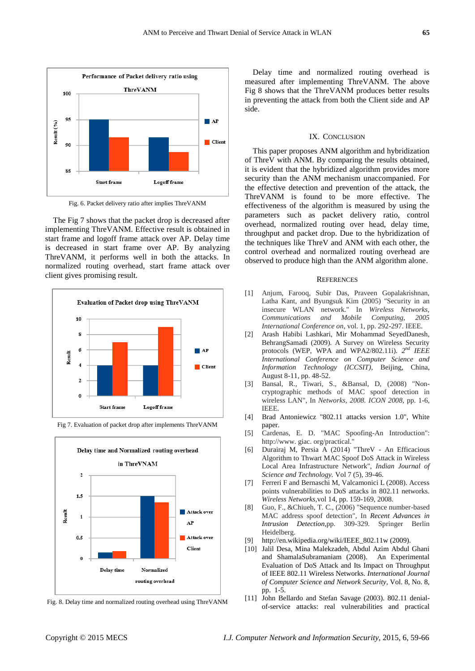

Fig. 6. Packet delivery ratio after implies ThreVANM

The Fig 7 shows that the packet drop is decreased after implementing ThreVANM. Effective result is obtained in start frame and logoff frame attack over AP. Delay time is decreased in start frame over AP. By analyzing ThreVANM, it performs well in both the attacks. In normalized routing overhead, start frame attack over client gives promising result.





Fig 7. Evaluation of packet drop after implements ThreVANM

Fig. 8. Delay time and normalized routing overhead using ThreVANM

Delay time and normalized routing overhead is measured after implementing ThreVANM. The above Fig 8 shows that the ThreVANM produces better results in preventing the attack from both the Client side and AP side.

# IX. CONCLUSION

This paper proposes ANM algorithm and hybridization of ThreV with ANM. By comparing the results obtained, it is evident that the hybridized algorithm provides more security than the ANM mechanism unaccompanied. For the effective detection and prevention of the attack, the ThreVANM is found to be more effective. The effectiveness of the algorithm is measured by using the parameters such as packet delivery ratio, control overhead, normalized routing over head, delay time, throughput and packet drop. Due to the hybridization of the techniques like ThreV and ANM with each other, the control overhead and normalized routing overhead are observed to produce high than the ANM algorithm alone.

## **REFERENCES**

- [1] Anjum, Farooq, Subir Das, Praveen Gopalakrishnan, Latha Kant, and Byungsuk Kim (2005) "Security in an insecure WLAN network." In *Wireless Networks, Communications and Mobile Computing, 2005 International Conference on*, vol. 1, pp. 292-297. IEEE.
- [2] Arash Habibi Lashkari, Mir Mohammad SeyedDanesh, BehrangSamadi (2009). A Survey on Wireless Security protocols (WEP, WPA and WPA2/802.11i). *2 nd IEEE International Conference on Computer Science and Information Technology (ICCSIT),* Beijing, China, August 8-11, pp. 48-52.
- [3] Bansal, R., Tiwari, S., &Bansal, D, (2008) "Noncryptographic methods of MAC spoof detection in wireless LAN", In *Networks, 2008. ICON 2008,* pp. 1-6, IEEE.
- [4] Brad Antoniewicz "802.11 attacks version 1.0", White paper.
- [5] Cardenas, E. D. "MAC Spoofing-An Introduction": http://www. giac. org/practical."
- [6] Durairaj M, Persia A (2014) "ThreV An Efficacious Algorithm to Thwart MAC Spoof DoS Attack in Wireless Local Area Infrastructure Network", *Indian Journal of Science and Technology.* Vol 7 (5), 39-46.
- [7] Ferreri F and Bernaschi M, Valcamonici L (2008). Access points vulnerabilities to DoS attacks in 802.11 networks. *Wireless Networks,*vol 14, pp. 159-169, 2008.
- [8] Guo, F., &Chiueh, T. C., (2006) "Sequence number-based MAC address spoof detection", In *Recent Advances in Intrusion Detection*,pp. 309-329. Springer Berlin Heidelberg.
- [9] http://en.wikipedia.org/wiki/IEEE\_802.11w (2009).
- [10] Jalil Desa, Mina Malekzadeh, Abdul Azim Abdul Ghani and ShamalaSubramaniam (2008). An Experimental Evaluation of DoS Attack and Its Impact on Throughput of IEEE 802.11 Wireless Networks. *International Journal of Computer Science and Network Security,* Vol. 8, No. 8, pp. 1-5.
- [11] John Bellardo and Stefan Savage (2003). 802.11 denialof-service attacks: real vulnerabilities and practical